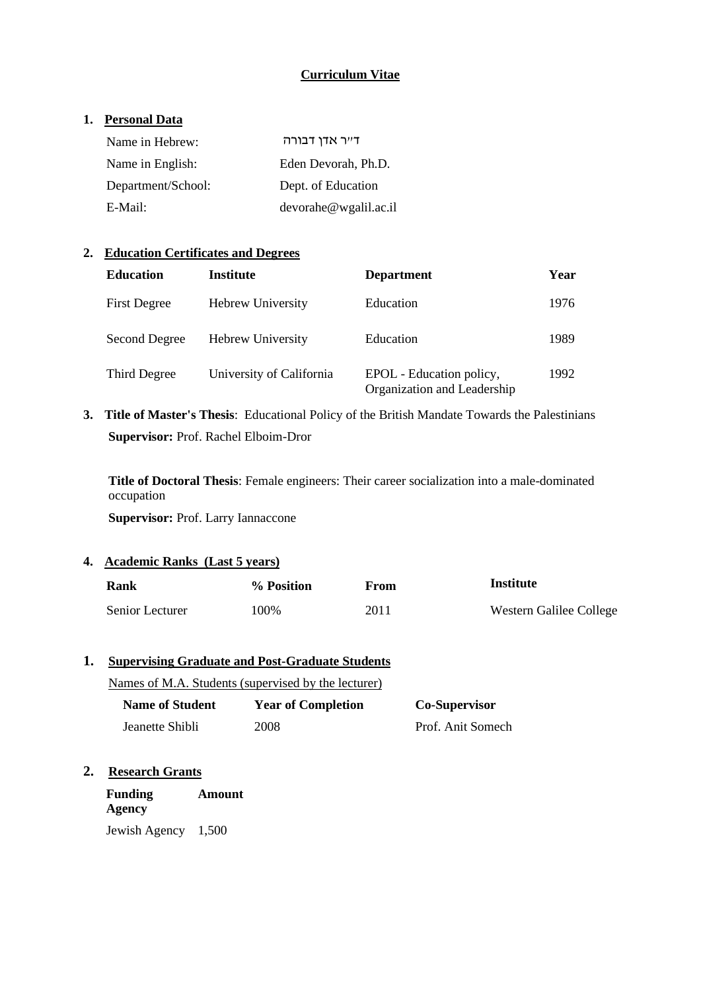# **Curriculum Vitae**

## **1. Personal Data**

| Name in Hebrew:    | דייר אדן דבורה          |
|--------------------|-------------------------|
| Name in English:   | Eden Devorah, Ph.D.     |
| Department/School: | Dept. of Education      |
| E-Mail:            | devor the @wgali1.ac.i1 |

## **2. Education Certificates and Degrees**

| <b>Education</b>    | Institute                | <b>Department</b>                                       | Year |
|---------------------|--------------------------|---------------------------------------------------------|------|
| <b>First Degree</b> | <b>Hebrew University</b> | Education                                               | 1976 |
| Second Degree       | <b>Hebrew University</b> | Education                                               | 1989 |
| Third Degree        | University of California | EPOL - Education policy,<br>Organization and Leadership | 1992 |

**3. Title of Master's Thesis**: Educational Policy of the British Mandate Towards the Palestinians **Supervisor:** Prof. Rachel Elboim-Dror

**Title of Doctoral Thesis**: Female engineers: Their career socialization into a male-dominated occupation

**Supervisor:** Prof. Larry Iannaccone

**4. Academic Ranks (Last 5 years)**

| Rank            | % Position | From | Institute               |
|-----------------|------------|------|-------------------------|
| Senior Lecturer | 100%       | 2011 | Western Galilee College |

## **1. Supervising Graduate and Post-Graduate Students**

Names of M.A. Students (supervised by the lecturer)

| <b>Name of Student</b> | <b>Year of Completion</b> | <b>Co-Supervisor</b> |
|------------------------|---------------------------|----------------------|
| Jeanette Shibli        | 2008                      | Prof. Anit Somech    |

## **2. Research Grants**

**Funding Agency Amount** Jewish Agency 1,500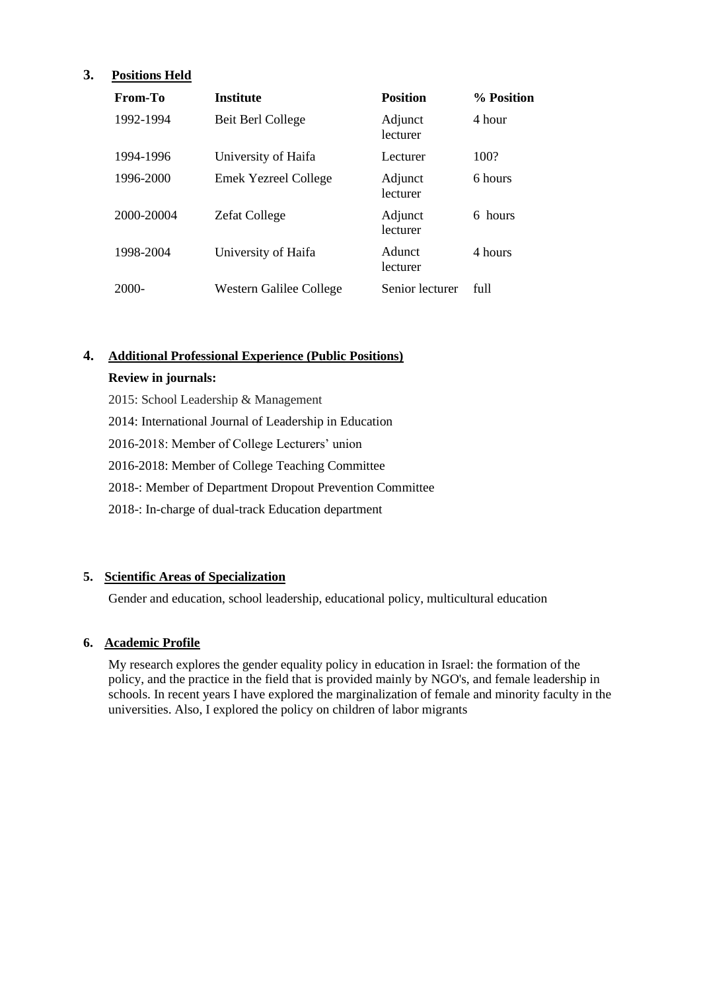# **3. Positions Held**

| From-To    | <b>Institute</b>            | <b>Position</b>     | % Position |
|------------|-----------------------------|---------------------|------------|
| 1992-1994  | Beit Berl College           | Adjunct<br>lecturer | 4 hour     |
| 1994-1996  | University of Haifa         | Lecturer            | 100?       |
| 1996-2000  | <b>Emek Yezreel College</b> | Adjunct<br>lecturer | 6 hours    |
| 2000-20004 | <b>Zefat College</b>        | Adjunct<br>lecturer | 6 hours    |
| 1998-2004  | University of Haifa         | Adunct<br>lecturer  | 4 hours    |
| 2000-      | Western Galilee College     | Senior lecturer     | full       |

# **4. Additional Professional Experience (Public Positions)**

## **Review in journals:**

- 2015: School Leadership & Management
- 2014: International Journal of Leadership in Education
- 2016-2018: Member of College Lecturers' union
- 2016-2018: Member of College Teaching Committee
- 2018-: Member of Department Dropout Prevention Committee
- 2018-: In-charge of dual-track Education department

## **5. Scientific Areas of Specialization**

Gender and education, school leadership, educational policy, multicultural education

# **6. Academic Profile**

My research explores the gender equality policy in education in Israel: the formation of the policy, and the practice in the field that is provided mainly by NGO's, and female leadership in schools. In recent years I have explored the marginalization of female and minority faculty in the universities. Also, I explored the policy on children of labor migrants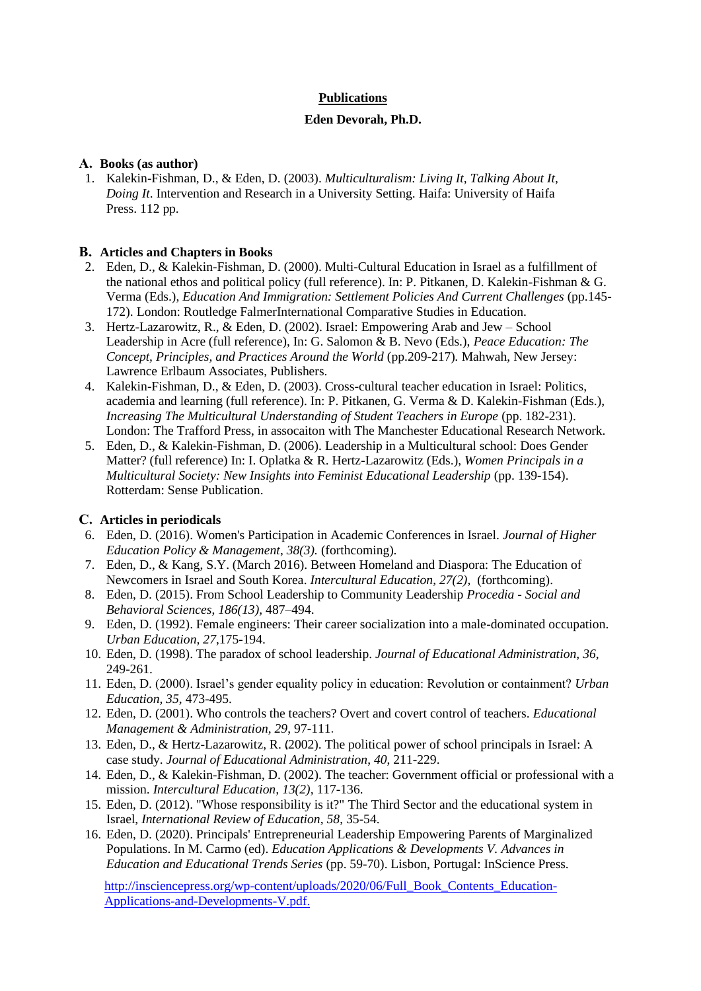## **Publications**

#### **Eden Devorah, Ph.D.**

#### **A. Books (as author)**

1. Kalekin-Fishman, D., & Eden, D. (2003). *Multiculturalism: Living It, Talking About It, Doing It*. Intervention and Research in a University Setting. Haifa: University of Haifa Press. 112 pp.

#### **B. Articles and Chapters in Books**

- 2. Eden, D., & Kalekin-Fishman, D. (2000). Multi-Cultural Education in Israel as a fulfillment of the national ethos and political policy (full reference). In: P. Pitkanen, D. Kalekin-Fishman & G. Verma (Eds.), *Education And Immigration: Settlement Policies And Current Challenges* (pp.145- 172). London: Routledge FalmerInternational Comparative Studies in Education.
- 3. Hertz-Lazarowitz, R., & Eden, D. (2002). Israel: Empowering Arab and Jew School Leadership in Acre (full reference), In: G. Salomon & B. Nevo (Eds.), *Peace Education: The Concept, Principles, and Practices Around the World* (pp.209-217)*.* Mahwah, New Jersey: Lawrence Erlbaum Associates, Publishers.
- 4. Kalekin-Fishman, D., & Eden, D. (2003). Cross-cultural teacher education in Israel: Politics, academia and learning (full reference). In: P. Pitkanen, G. Verma & D. Kalekin-Fishman (Eds.), *Increasing The Multicultural Understanding of Student Teachers in Europe* (pp. 182-231). London: The Trafford Press, in assocaiton with The Manchester Educational Research Network.
- 5. Eden, D., & Kalekin-Fishman, D. (2006). Leadership in a Multicultural school: Does Gender Matter? (full reference) In: I. Oplatka & R. Hertz-Lazarowitz (Eds.), *Women Principals in a Multicultural Society: New Insights into Feminist Educational Leadership* (pp. 139-154). Rotterdam: Sense Publication.

## **C. Articles in periodicals**

- 6. Eden, D. (2016). Women's Participation in Academic Conferences in Israel. *Journal of Higher Education Policy & Management*, *38(3).* (forthcoming).
- 7. Eden, D., & Kang, S.Y. (March 2016). Between Homeland and Diaspora: The Education of Newcomers in Israel and South Korea. *Intercultural Education*, *27(2),* (forthcoming).
- 8. Eden, D. (2015). From School Leadership to Community Leadership *[Procedia](http://www.sciencedirect.com/science/journal/18770428) - Social and [Behavioral](http://www.sciencedirect.com/science/journal/18770428) Sciences*, *[186\(](http://www.sciencedirect.com/science/journal/18770428/186/supp/C)13),* 487–494.
- 9. Eden, D. (1992). Female engineers: Their career socialization into a male-dominated occupation. *Urban Education, 27*,175-194.
- 10. Eden, D. (1998). The paradox of school leadership. *Journal of Educational Administration*, *36*, 249-261.
- 11. Eden, D. (2000). Israel's gender equality policy in education: Revolution or containment? *Urban Education, 35*, 473-495.
- 12. Eden, D. (2001). Who controls the teachers? Overt and covert control of teachers. *Educational Management & Administration, 29*, 97-111 .
- 13. Eden, D., & Hertz-Lazarowitz, R. (2002). The political power of school principals in Israel: A case study. *Journal of Educational Administration*, *40*, 211-229.
- 14. Eden, D., & Kalekin-Fishman, D. (2002). The teacher: Government official or professional with a mission. *Intercultural Education, [13\(](http://www.tandfonline.com/loi/ceji20?open=13#vol_13)2),* 117-136.
- 15. Eden, D. (2012). "Whose responsibility is it?" The Third Sector and the educational system in Israel, *International Review of Education, 58*, 35-54.
- 16. Eden, D. (2020). Principals' Entrepreneurial Leadership Empowering Parents of Marginalized Populations. In M. Carmo (ed). *Education Applications & Developments V. Advances in Education and Educational Trends Series* (pp. 59-70). Lisbon, Portugal: InScience Press.

[http://insciencepress.org/wp-content/uploads/2020/06/Full\\_Book\\_Contents\\_Education-](http://insciencepress.org/wp-content/uploads/2020/06/Full_Book_Contents_Education-)Applications-and-Developments-V.pdf.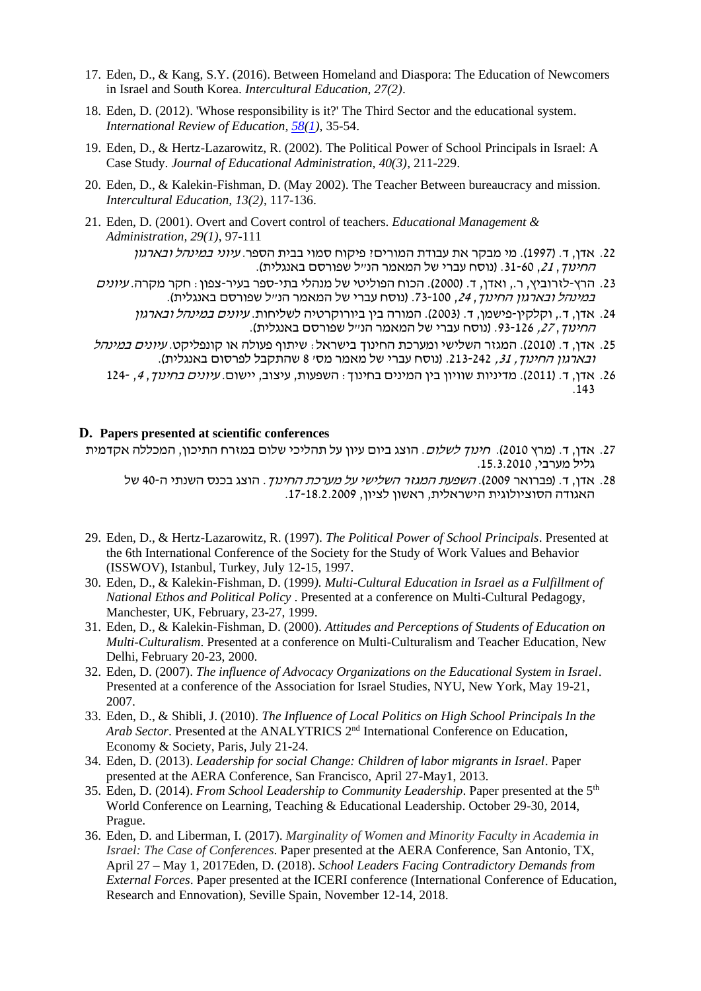- 17. Eden, D., & Kang, S.Y. (2016). Between Homeland and Diaspora: The Education of Newcomers in Israel and South Korea. *Intercultural Education, 27(2)*.
- 18. Eden, D. (2012). 'Whose responsibility is it?' The Third Sector and the educational system. *International Review of Education, [58\(](https://www.infona.pl/resource/bwmeta1.element.springer-000000011159/tab/jContent/facet?field=%5ejournalYear%5ejournalVolume&value=%5e_02012%5e_00058)[1\)](https://www.infona.pl/resource/bwmeta1.element.springer-000000011159/tab/jContent/facet?field=%5ejournalYear%5ejournalVolume%5ejournalNumber&value=%5e_02012%5e_00058%5e_00001)*, 35-54.
- 19. Eden, D., & Hertz-Lazarowitz, R. (2002). The Political Power of School Principals in Israel: A Case Study. *Journal of Educational Administration, 40(3)*, 211-229.
- 20. Eden, D., & Kalekin-Fishman, D. (May 2002). The Teacher Between bureaucracy and mission. *Intercultural Education, 13(2)*, 117-136.
- 21. Eden, D. (2001). Overt and Covert control of teachers. *Educational Management & Administration, 29(1)*, 97-111
	- .22 אדן, ד. )1997(. מי מבקר את עבודת המורים? פיקוח סמוי בבית הספר. עיוני במינהל ובארגון החינוך, ,21 .31-60 )נוסח עברי של המאמר הנ"ל שפורסם באנגלית(.
	- .23 הרץ-לזרוביץ, ר,. ואדן, ד. ) 2000(. הכוח הפוליטי של מנהלי בתי -ספר בעיר-צפון: חקר מקרה. עיונים <u>במינהל ובארגון החינוך, 24, 100-73. (נוסח עברי של המאמר הנייל שפורסם באנגלית).</u>
		- .24 אדן, ד., וקלקין-פישמן, ד. (2003). המורה בין ביורוקרטיה לשליחות. *עיונים במינהל ובארגון* החינוך, ,<sup>27</sup> .93-126 )נוסח עברי של המאמר הנ"ל שפורסם באנגלית(.
	- .<br>25. אדו, ד. (2010). המגזר השלישי ומערכת החינוד בישראל: שיתוף פעולה או קונפליקט. *עיונים במינהל* <u>ובארגון החינוך, 31, 24</u>2-213. (נוסח עברי של מאמר מסי 8 שהתקבל לפרסום באנגלית).
		- 124 . אדן, ד. (2011). מדיניות שוויון בין המינים בחינוך: השפעות, עיצוב, יישום. *עיונים בחינוך, 4,* 124-.143

#### **D. Papers presented at scientific conferences**

- 27. אדן, ד. (מרץ 2010). ח*ינוך לשלום*. הוצג ביום עיון על תהליכי שלום במזרח התיכון, המכללה אקדמית גליל מערבי, .15.3.2010
	- 28. אדן, ד. (פברואר 2009). *השפעת המגזר השלישי על מערכת החינוך*. הוצג בכנס השנתי ה-40 של האגודה הסוציולוגית הישראלית, ראשון לציון, .17-18.2.2009
- 29. Eden, D., & Hertz-Lazarowitz, R. (1997). *The Political Power of School Principals*. Presented at the 6th International Conference of the Society for the Study of Work Values and Behavior (ISSWOV), Istanbul, Turkey, July 12-15, 1997.
- 30. Eden, D., & Kalekin-Fishman, D. (1999*). Multi-Cultural Education in Israel as a Fulfillment of National Ethos and Political Policy* . Presented at a conference on Multi-Cultural Pedagogy, Manchester, UK, February, 23-27, 1999.
- 31. Eden, D., & Kalekin-Fishman, D. (2000). *Attitudes and Perceptions of Students of Education on Multi-Culturalism*. Presented at a conference on Multi-Culturalism and Teacher Education, New Delhi, February 20-23, 2000.
- 32. Eden, D. (2007). *The influence of Advocacy Organizations on the Educational System in Israel*. Presented at a conference of the Association for Israel Studies, NYU, New York, May 19-21, 2007.
- 33. Eden, D., & Shibli, J. (2010). *The Influence of Local Politics on High School Principals In the Arab Sector*. Presented at the ANALYTRICS 2nd International Conference on Education, Economy & Society, Paris, July 21-24.
- 34. Eden, D. (2013). *Leadership for social Change: Children of labor migrants in Israel*. Paper presented at the AERA Conference, San Francisco, April 27-May1, 2013.
- 35. Eden, D. (2014). *From School Leadership to Community Leadership*. Paper presented at the 5th World Conference on Learning, Teaching & Educational Leadership. October 29-30, 2014, Prague.
- 36. Eden, D. and Liberman, I. (2017). *Marginality of Women and Minority Faculty in Academia in Israel: The Case of Conferences*. Paper presented at the AERA Conference, San Antonio, TX, April 27 – May 1, 2017Eden, D. (2018). *School Leaders Facing Contradictory Demands from External Forces*. Paper presented at the ICERI conference (International Conference of Education, Research and Ennovation), Seville Spain, November 12-14, 2018.